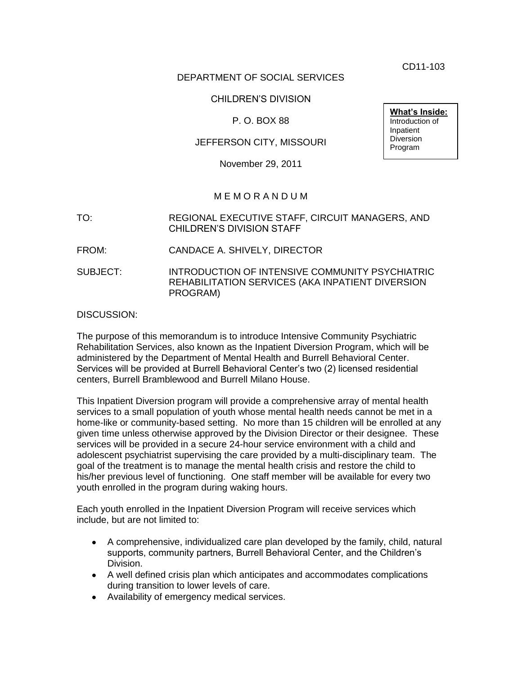CD11-103

## DEPARTMENT OF SOCIAL SERVICES

## CHILDREN'S DIVISION

## P. O. BOX 88

### JEFFERSON CITY, MISSOURI

November 29, 2011

## M E M O R A N D U M

TO: REGIONAL EXECUTIVE STAFF, CIRCUIT MANAGERS, AND CHILDREN'S DIVISION STAFF

FROM: CANDACE A. SHIVELY, DIRECTOR

SUBJECT: INTRODUCTION OF INTENSIVE COMMUNITY PSYCHIATRIC REHABILITATION SERVICES (AKA INPATIENT DIVERSION PROGRAM)

#### DISCUSSION:

The purpose of this memorandum is to introduce Intensive Community Psychiatric Rehabilitation Services, also known as the Inpatient Diversion Program, which will be administered by the Department of Mental Health and Burrell Behavioral Center. Services will be provided at Burrell Behavioral Center's two (2) licensed residential centers, Burrell Bramblewood and Burrell Milano House.

This Inpatient Diversion program will provide a comprehensive array of mental health services to a small population of youth whose mental health needs cannot be met in a home-like or community-based setting. No more than 15 children will be enrolled at any given time unless otherwise approved by the Division Director or their designee. These services will be provided in a secure 24-hour service environment with a child and adolescent psychiatrist supervising the care provided by a multi-disciplinary team. The goal of the treatment is to manage the mental health crisis and restore the child to his/her previous level of functioning. One staff member will be available for every two youth enrolled in the program during waking hours.

Each youth enrolled in the Inpatient Diversion Program will receive services which include, but are not limited to:

- A comprehensive, individualized care plan developed by the family, child, natural supports, community partners, Burrell Behavioral Center, and the Children's Division.
- A well defined crisis plan which anticipates and accommodates complications during transition to lower levels of care.
- Availability of emergency medical services.

**What's Inside:** Introduction of Inpatient Diversion Program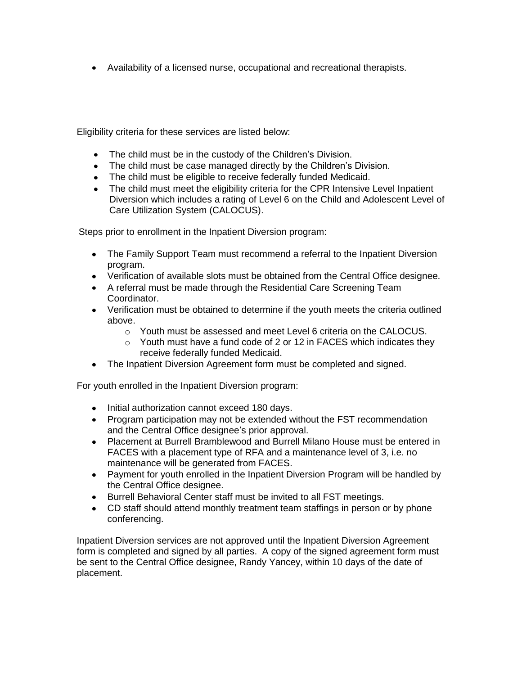Availability of a licensed nurse, occupational and recreational therapists.

Eligibility criteria for these services are listed below:

- The child must be in the custody of the Children's Division.
- The child must be case managed directly by the Children's Division.
- The child must be eligible to receive federally funded Medicaid.
- The child must meet the eligibility criteria for the CPR Intensive Level Inpatient Diversion which includes a rating of Level 6 on the Child and Adolescent Level of Care Utilization System (CALOCUS).

Steps prior to enrollment in the Inpatient Diversion program:

- The Family Support Team must recommend a referral to the Inpatient Diversion program.
- Verification of available slots must be obtained from the Central Office designee.
- A referral must be made through the Residential Care Screening Team Coordinator.
- Verification must be obtained to determine if the youth meets the criteria outlined above.
	- o Youth must be assessed and meet Level 6 criteria on the CALOCUS.
	- o Youth must have a fund code of 2 or 12 in FACES which indicates they receive federally funded Medicaid.
- The Inpatient Diversion Agreement form must be completed and signed.

For youth enrolled in the Inpatient Diversion program:

- Initial authorization cannot exceed 180 days.
- Program participation may not be extended without the FST recommendation and the Central Office designee's prior approval.
- Placement at Burrell Bramblewood and Burrell Milano House must be entered in FACES with a placement type of RFA and a maintenance level of 3, i.e. no maintenance will be generated from FACES.
- Payment for youth enrolled in the Inpatient Diversion Program will be handled by the Central Office designee.
- Burrell Behavioral Center staff must be invited to all FST meetings.
- CD staff should attend monthly treatment team staffings in person or by phone conferencing.

Inpatient Diversion services are not approved until the Inpatient Diversion Agreement form is completed and signed by all parties. A copy of the signed agreement form must be sent to the Central Office designee, Randy Yancey, within 10 days of the date of placement.